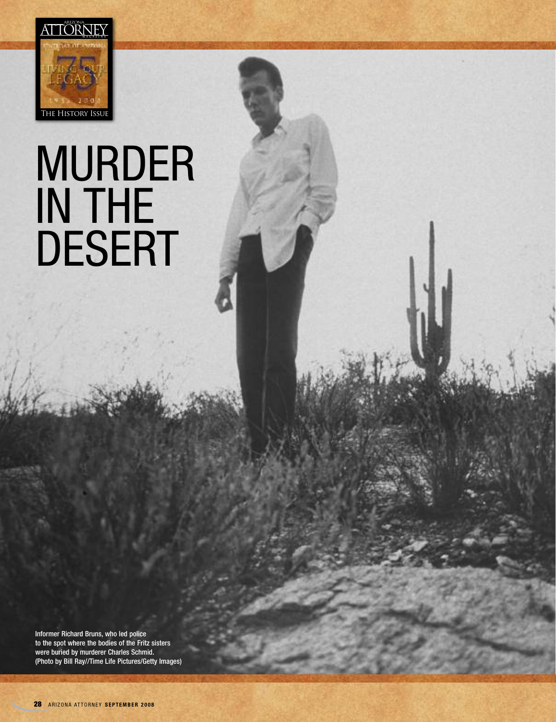

## MURDER IN THE DESERT

Informer Richard Bruns, who led police to the spot where the bodies of the Fritz sisters were buried by murderer Charles Schmid. (Photo by Bill Ray//Time Life Pictures/Getty Images)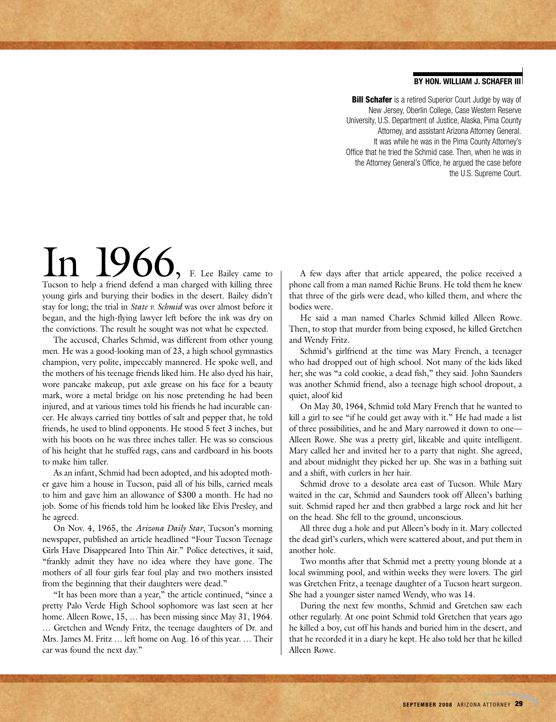## **BY HON. WILLIAM J. SCHAFER III**

**Bill Schafer** is a retired Superior Court Judge by way of New Jersey, Oberlin College, Case Western Reserve University, U.S. Department of Justice, Alaska, Pima County Attorney, and assistant Arizona Attorney General. It was while he was in the Pima County Attorney's Office that he tried the Schmid case. Then, when he was in the Attorney General's Office, he argued the case before the U.S. Supreme Court.

In 1966, F. Lee Bailey came to Tucson to help a friend defend a man charged with killing three young girls and burying their bodies in the desert. Bailey didn't stay for long; the trial in *State v. Schmid* was over almost before it began, and the high-flying lawyer left before the ink was dry on the convictions. The result he sought was not what he expected.

The accused, Charles Schmid, was different from other young men. He was a good-looking man of 23, a high school gymnastics champion, very polite, impeccably mannered. He spoke well, and the mothers of his teenage friends liked him. He also dyed his hair, wore pancake makeup, put axle grease on his face for a beauty mark, wore a metal bridge on his nose pretending he had been injured, and at various times told his friends he had incurable cancer. He always carried tiny bottles of salt and pepper that, he told friends, he used to blind opponents. He stood 5 feet 3 inches, but with his boots on he was three inches taller. He was so conscious of his height that he stuffed rags, cans and cardboard in his boots to make him taller.

As an infant, Schmid had been adopted, and his adopted mother gave him a house in Tucson, paid all of his bills, carried meals to him and gave him an allowance of \$300 a month. He had no job. Some of his friends told him he looked like Elvis Presley, and he agreed.

On Nov. 4, 1965, the *Arizona Daily Star*, Tucson's morning newspaper, published an article headlined "Four Tucson Teenage Girls Have Disappeared Into Thin Air." Police detectives, it said, "frankly admit they have no idea where they have gone. The mothers of all four girls fear foul play and two mothers insisted from the beginning that their daughters were dead."

"It has been more than a year," the article continued, "since a pretty Palo Verde High School sophomore was last seen at her home. Alleen Rowe, 15, ... has been missing since May 31, 1964. … Gretchen and Wendy Fritz, the teenage daughters of Dr. and Mrs. James M. Fritz … left home on Aug. 16 of this year. … Their car was found the next day."

A few days after that article appeared, the police received a phone call from a man named Richie Bruns. He told them he knew that three of the girls were dead, who killed them, and where the bodies were.

He said a man named Charles Schmid killed Alleen Rowe. Then, to stop that murder from being exposed, he killed Gretchen and Wendy Fritz.

Schmid's girlfriend at the time was Mary French, a teenager who had dropped out of high school. Not many of the kids liked her; she was "a cold cookie, a dead fish," they said. John Saunders was another Schmid friend, also a teenage high school dropout, a quiet, aloof kid

On May 30, 1964, Schmid told Mary French that he wanted to kill a girl to see "if he could get away with it." He had made a list of three possibilities, and he and Mary narrowed it down to one— Alleen Rowe. She was a pretty girl, likeable and quite intelligent. Mary called her and invited her to a party that night. She agreed, and about midnight they picked her up. She was in a bathing suit and a shift, with curlers in her hair.

Schmid drove to a desolate area east of Tucson. While Mary waited in the car, Schmid and Saunders took off Alleen's bathing suit. Schmid raped her and then grabbed a large rock and hit her on the head. She fell to the ground, unconscious.

All three dug a hole and put Alleen's body in it. Mary collected the dead girl's curlers, which were scattered about, and put them in another hole.

Two months after that Schmid met a pretty young blonde at a local swimming pool, and within weeks they were lovers. The girl was Gretchen Fritz, a teenage daughter of a Tucson heart surgeon. She had a younger sister named Wendy, who was 14.

During the next few months, Schmid and Gretchen saw each other regularly. At one point Schmid told Gretchen that years ago he killed a boy, cut off his hands and buried him in the desert, and that he recorded it in a diary he kept. He also told her that he killed Alleen Rowe.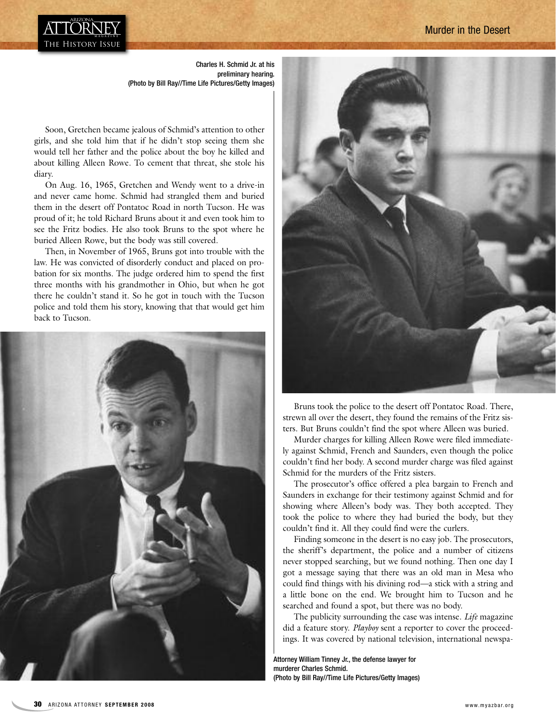## Murder in the Desert



Charles H. Schmid Jr. at his preliminary hearing. (Photo by Bill Ray//Time Life Pictures/Getty Images)

Soon, Gretchen became jealous of Schmid's attention to other girls, and she told him that if he didn't stop seeing them she would tell her father and the police about the boy he killed and about killing Alleen Rowe. To cement that threat, she stole his diary.

On Aug. 16, 1965, Gretchen and Wendy went to a drive-in and never came home. Schmid had strangled them and buried them in the desert off Pontatoc Road in north Tucson. He was proud of it; he told Richard Bruns about it and even took him to see the Fritz bodies. He also took Bruns to the spot where he buried Alleen Rowe, but the body was still covered.

Then, in November of 1965, Bruns got into trouble with the law. He was convicted of disorderly conduct and placed on probation for six months. The judge ordered him to spend the first three months with his grandmother in Ohio, but when he got there he couldn't stand it. So he got in touch with the Tucson police and told them his story, knowing that that would get him back to Tucson.





Bruns took the police to the desert off Pontatoc Road. There, strewn all over the desert, they found the remains of the Fritz sisters. But Bruns couldn't find the spot where Alleen was buried.

Murder charges for killing Alleen Rowe were filed immediately against Schmid, French and Saunders, even though the police couldn't find her body. A second murder charge was filed against Schmid for the murders of the Fritz sisters.

The prosecutor's office offered a plea bargain to French and Saunders in exchange for their testimony against Schmid and for showing where Alleen's body was. They both accepted. They took the police to where they had buried the body, but they couldn't find it. All they could find were the curlers.

Finding someone in the desert is no easy job. The prosecutors, the sheriff's department, the police and a number of citizens never stopped searching, but we found nothing. Then one day I got a message saying that there was an old man in Mesa who could find things with his divining rod—a stick with a string and a little bone on the end. We brought him to Tucson and he searched and found a spot, but there was no body.

The publicity surrounding the case was intense. *Life* magazine did a feature story. *Playboy* sent a reporter to cover the proceedings. It was covered by national television, international newspa-

Attorney William Tinney Jr., the defense lawyer for murderer Charles Schmid. (Photo by Bill Ray//Time Life Pictures/Getty Images)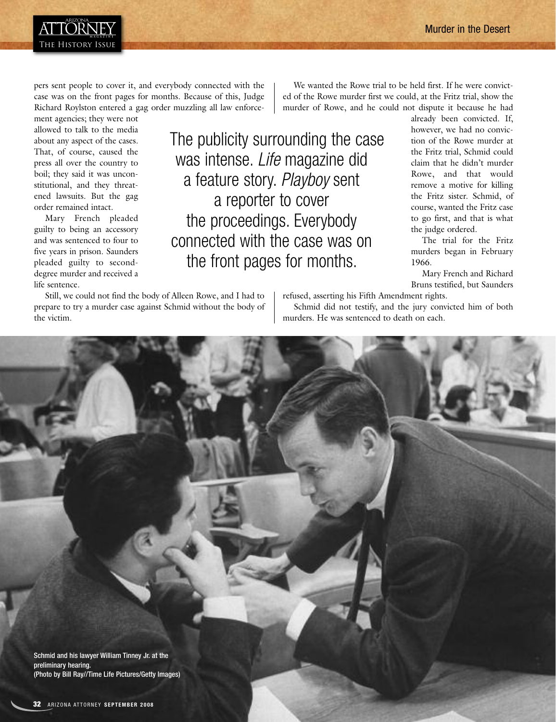

pers sent people to cover it, and everybody connected with the case was on the front pages for months. Because of this, Judge Richard Roylston entered a gag order muzzling all law enforce-

ment agencies; they were not allowed to talk to the media about any aspect of the cases. That, of course, caused the press all over the country to boil; they said it was unconstitutional, and they threatened lawsuits. But the gag order remained intact.

Mary French pleaded guilty to being an accessory and was sentenced to four to five years in prison. Saunders pleaded guilty to seconddegree murder and received a life sentence.

Still, we could not find the body of Alleen Rowe, and I had to prepare to try a murder case against Schmid without the body of the victim.

We wanted the Rowe trial to be held first. If he were convicted of the Rowe murder first we could, at the Fritz trial, show the murder of Rowe, and he could not dispute it because he had

The publicity surrounding the case was intense. *Life* magazine did a feature story. *Playboy* sent a reporter to cover the proceedings. Everybody connected with the case was on the front pages for months.

already been convicted. If, however, we had no conviction of the Rowe murder at the Fritz trial, Schmid could claim that he didn't murder Rowe, and that would remove a motive for killing the Fritz sister. Schmid, of course, wanted the Fritz case to go first, and that is what the judge ordered.

The trial for the Fritz murders began in February 1966.

Mary French and Richard Bruns testified, but Saunders

refused, asserting his Fifth Amendment rights. Schmid did not testify, and the jury convicted him of both murders. He was sentenced to death on each.

Schmid and his lawyer William Tinney Jr. at the preliminary hearing. (Photo by Bill Ray//Time Life Pictures/Getty Images)